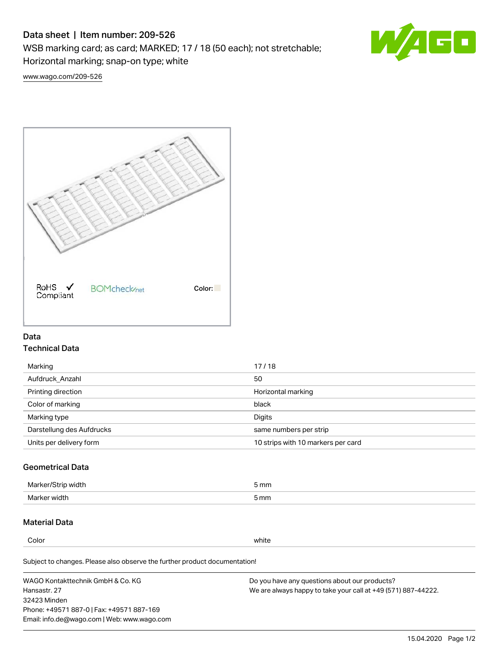# Data sheet | Item number: 209-526

WSB marking card; as card; MARKED; 17 / 18 (50 each); not stretchable;

Horizontal marking; snap-on type; white



[www.wago.com/209-526](http://www.wago.com/209-526)



### Data Technical Data

| Marking                   | 17/18                              |
|---------------------------|------------------------------------|
| Aufdruck Anzahl           | 50                                 |
| Printing direction        | Horizontal marking                 |
| Color of marking          | black                              |
| Marking type              | Digits                             |
| Darstellung des Aufdrucks | same numbers per strip             |
| Units per delivery form   | 10 strips with 10 markers per card |

## Geometrical Data

| <b>Marker</b><br>width | 5 mm |
|------------------------|------|
| Marker width           | 5 mm |

## Material Data

Color white

Subject to changes. Please also observe the further product documentation!

WAGO Kontakttechnik GmbH & Co. KG Hansastr. 27 32423 Minden Phone: +49571 887-0 | Fax: +49571 887-169 Email: info.de@wago.com | Web: www.wago.com Do you have any questions about our products? We are always happy to take your call at +49 (571) 887-44222.